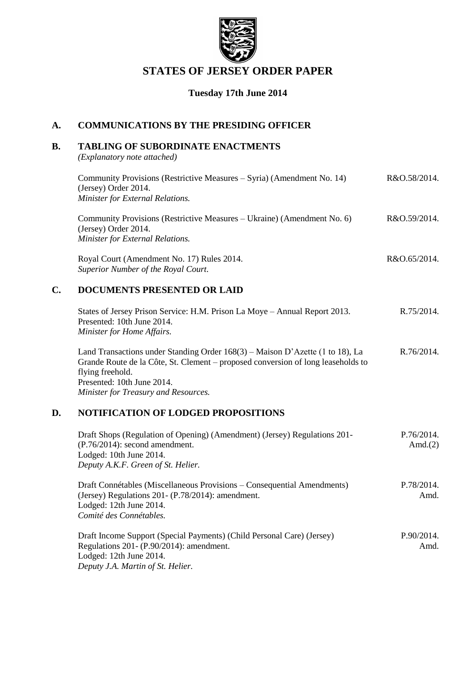

## **STATES OF JERSEY ORDER PAPER**

### **Tuesday 17th June 2014**

### **A. COMMUNICATIONS BY THE PRESIDING OFFICER**

### **B. TABLING OF SUBORDINATE ENACTMENTS**

*(Explanatory note attached)*

| Community Provisions (Restrictive Measures – Syria) (Amendment No. 14) | R&O.58/2014. |
|------------------------------------------------------------------------|--------------|
| (Jersey) Order 2014.                                                   |              |
| <b>Minister for External Relations.</b>                                |              |
|                                                                        |              |

Community Provisions (Restrictive Measures – Ukraine) (Amendment No. 6) (Jersey) Order 2014. *Minister for External Relations.* R&O.59/2014.

Royal Court (Amendment No. 17) Rules 2014. *Superior Number of the Royal Court.* R&O.65/2014.

### **C. DOCUMENTS PRESENTED OR LAID**

| States of Jersey Prison Service: H.M. Prison La Moye – Annual Report 2013. | R.75/2014. |
|----------------------------------------------------------------------------|------------|
| Presented: 10th June 2014.                                                 |            |
| Minister for Home Affairs.                                                 |            |

Land Transactions under Standing Order 168(3) – Maison D'Azette (1 to 18), La Grande Route de la Côte, St. Clement – proposed conversion of long leaseholds to flying freehold. Presented: 10th June 2014. *Minister for Treasury and Resources.* R.76/2014.

### **D. NOTIFICATION OF LODGED PROPOSITIONS**

| Draft Shops (Regulation of Opening) (Amendment) (Jersey) Regulations 201-<br>$(P.76/2014)$ : second amendment.<br>Lodged: 10th June 2014.<br>Deputy A.K.F. Green of St. Helier.        | P.76/2014.<br>Amd. $(2)$ |
|----------------------------------------------------------------------------------------------------------------------------------------------------------------------------------------|--------------------------|
| Draft Connétables (Miscellaneous Provisions – Consequential Amendments)<br>(Jersey) Regulations 201 - $(P.78/2014)$ : amendment.<br>Lodged: 12th June 2014.<br>Comité des Connétables. | P.78/2014.<br>Amd.       |
| Draft Income Support (Special Payments) (Child Personal Care) (Jersey)<br>Regulations 201- (P.90/2014): amendment.<br>Lodged: 12th June 2014.<br>Deputy J.A. Martin of St. Helier.     | P.90/2014.<br>Amd.       |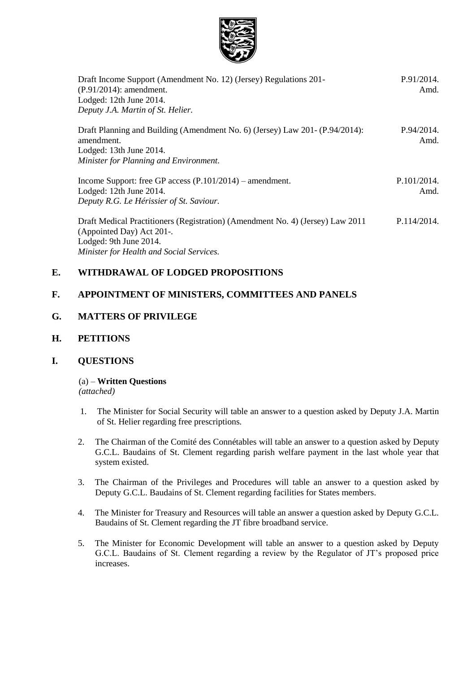

| Draft Income Support (Amendment No. 12) (Jersey) Regulations 201-<br>$(P.91/2014)$ : amendment.<br>Lodged: 12th June 2014.<br>Deputy J.A. Martin of St. Helier. | P.91/2014.<br>Amd.  |
|-----------------------------------------------------------------------------------------------------------------------------------------------------------------|---------------------|
| Draft Planning and Building (Amendment No. 6) (Jersey) Law 201- (P.94/2014):<br>amendment.<br>Lodged: 13th June 2014.<br>Minister for Planning and Environment. | P.94/2014.<br>Amd.  |
| Income Support: free GP access $(P.101/2014)$ – amendment.<br>Lodged: 12th June 2014.<br>Deputy R.G. Le Hérissier of St. Saviour.                               | P.101/2014.<br>Amd. |
| Draft Medical Practitioners (Registration) (Amendment No. 4) (Jersey) Law 2011<br>(Appointed Day) Act 201-.<br>Lodged: 9th June 2014.                           | P.114/2014.         |

*Minister for Health and Social Services.*

### **E. WITHDRAWAL OF LODGED PROPOSITIONS**

### **F. APPOINTMENT OF MINISTERS, COMMITTEES AND PANELS**

### **G. MATTERS OF PRIVILEGE**

### **H. PETITIONS**

### **I. QUESTIONS**

### (a) – **Written Questions**

*(attached)*

- 1. The Minister for Social Security will table an answer to a question asked by Deputy J.A. Martin of St. Helier regarding free prescriptions.
- 2. The Chairman of the Comité des Connétables will table an answer to a question asked by Deputy G.C.L. Baudains of St. Clement regarding parish welfare payment in the last whole year that system existed.
- 3. The Chairman of the Privileges and Procedures will table an answer to a question asked by Deputy G.C.L. Baudains of St. Clement regarding facilities for States members.
- 4. The Minister for Treasury and Resources will table an answer a question asked by Deputy G.C.L. Baudains of St. Clement regarding the JT fibre broadband service.
- 5. The Minister for Economic Development will table an answer to a question asked by Deputy G.C.L. Baudains of St. Clement regarding a review by the Regulator of JT's proposed price increases.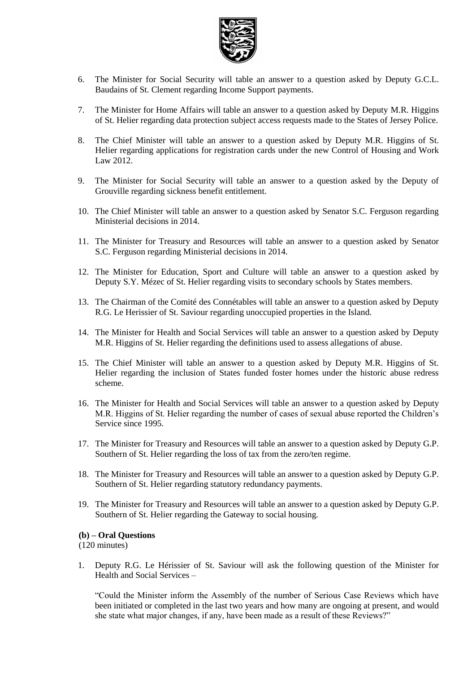

- 6. The Minister for Social Security will table an answer to a question asked by Deputy G.C.L. Baudains of St. Clement regarding Income Support payments.
- 7. The Minister for Home Affairs will table an answer to a question asked by Deputy M.R. Higgins of St. Helier regarding data protection subject access requests made to the States of Jersey Police.
- 8. The Chief Minister will table an answer to a question asked by Deputy M.R. Higgins of St. Helier regarding applications for registration cards under the new Control of Housing and Work Law 2012.
- 9. The Minister for Social Security will table an answer to a question asked by the Deputy of Grouville regarding sickness benefit entitlement.
- 10. The Chief Minister will table an answer to a question asked by Senator S.C. Ferguson regarding Ministerial decisions in 2014.
- 11. The Minister for Treasury and Resources will table an answer to a question asked by Senator S.C. Ferguson regarding Ministerial decisions in 2014.
- 12. The Minister for Education, Sport and Culture will table an answer to a question asked by Deputy S.Y. Mézec of St. Helier regarding visits to secondary schools by States members.
- 13. The Chairman of the Comité des Connétables will table an answer to a question asked by Deputy R.G. Le Herissier of St. Saviour regarding unoccupied properties in the Island.
- 14. The Minister for Health and Social Services will table an answer to a question asked by Deputy M.R. Higgins of St. Helier regarding the definitions used to assess allegations of abuse.
- 15. The Chief Minister will table an answer to a question asked by Deputy M.R. Higgins of St. Helier regarding the inclusion of States funded foster homes under the historic abuse redress scheme.
- 16. The Minister for Health and Social Services will table an answer to a question asked by Deputy M.R. Higgins of St. Helier regarding the number of cases of sexual abuse reported the Children's Service since 1995.
- 17. The Minister for Treasury and Resources will table an answer to a question asked by Deputy G.P. Southern of St. Helier regarding the loss of tax from the zero/ten regime.
- 18. The Minister for Treasury and Resources will table an answer to a question asked by Deputy G.P. Southern of St. Helier regarding statutory redundancy payments.
- 19. The Minister for Treasury and Resources will table an answer to a question asked by Deputy G.P. Southern of St. Helier regarding the Gateway to social housing.

#### **(b) – Oral Questions**

(120 minutes)

1. Deputy R.G. Le Hérissier of St. Saviour will ask the following question of the Minister for Health and Social Services –

"Could the Minister inform the Assembly of the number of Serious Case Reviews which have been initiated or completed in the last two years and how many are ongoing at present, and would she state what major changes, if any, have been made as a result of these Reviews?"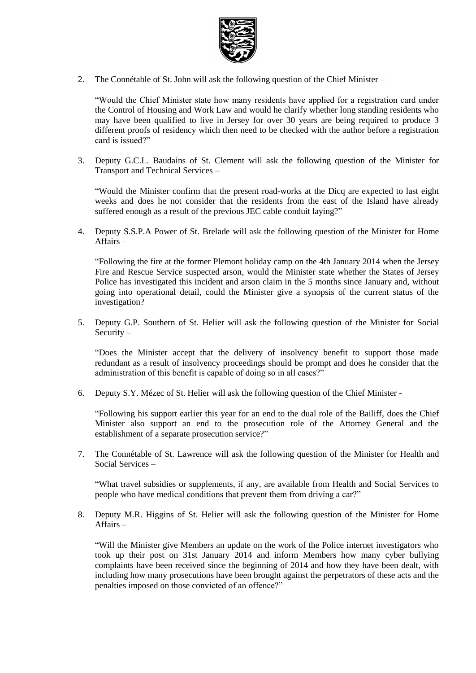

2. The Connétable of St. John will ask the following question of the Chief Minister –

"Would the Chief Minister state how many residents have applied for a registration card under the Control of Housing and Work Law and would he clarify whether long standing residents who may have been qualified to live in Jersey for over 30 years are being required to produce 3 different proofs of residency which then need to be checked with the author before a registration card is issued?"

3. Deputy G.C.L. Baudains of St. Clement will ask the following question of the Minister for Transport and Technical Services –

"Would the Minister confirm that the present road-works at the Dicq are expected to last eight weeks and does he not consider that the residents from the east of the Island have already suffered enough as a result of the previous JEC cable conduit laying?"

4. Deputy S.S.P.A Power of St. Brelade will ask the following question of the Minister for Home Affairs –

"Following the fire at the former Plemont holiday camp on the 4th January 2014 when the Jersey Fire and Rescue Service suspected arson, would the Minister state whether the States of Jersey Police has investigated this incident and arson claim in the 5 months since January and, without going into operational detail, could the Minister give a synopsis of the current status of the investigation?

5. Deputy G.P. Southern of St. Helier will ask the following question of the Minister for Social Security –

"Does the Minister accept that the delivery of insolvency benefit to support those made redundant as a result of insolvency proceedings should be prompt and does he consider that the administration of this benefit is capable of doing so in all cases?"

6. Deputy S.Y. Mézec of St. Helier will ask the following question of the Chief Minister -

"Following his support earlier this year for an end to the dual role of the Bailiff, does the Chief Minister also support an end to the prosecution role of the Attorney General and the establishment of a separate prosecution service?"

7. The Connétable of St. Lawrence will ask the following question of the Minister for Health and Social Services –

"What travel subsidies or supplements, if any, are available from Health and Social Services to people who have medical conditions that prevent them from driving a car?"

8. Deputy M.R. Higgins of St. Helier will ask the following question of the Minister for Home Affairs –

"Will the Minister give Members an update on the work of the Police internet investigators who took up their post on 31st January 2014 and inform Members how many cyber bullying complaints have been received since the beginning of 2014 and how they have been dealt, with including how many prosecutions have been brought against the perpetrators of these acts and the penalties imposed on those convicted of an offence?"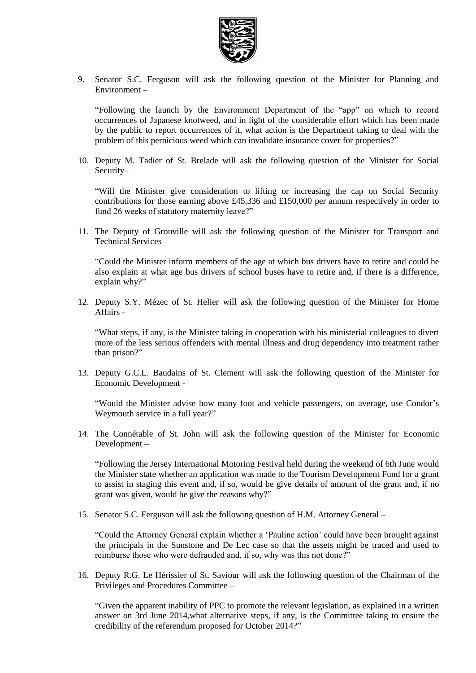

9. Senator S.C. Ferguson will ask the following question of the Minister for Planning and Environment –

"Following the launch by the Environment Department of the "app" on which to record occurrences of Japanese knotweed, and in light of the considerable effort which has been made by the public to report occurrences of it, what action is the Department taking to deal with the problem of this pernicious weed which can invalidate insurance cover for properties?"

10. Deputy M. Tadier of St. Brelade will ask the following question of the Minister for Social Security–

"Will the Minister give consideration to lifting or increasing the cap on Social Security contributions for those earning above £45,336 and £150,000 per annum respectively in order to fund 26 weeks of statutory maternity leave?"

11. The Deputy of Grouville will ask the following question of the Minister for Transport and Technical Services –

"Could the Minister inform members of the age at which bus drivers have to retire and could he also explain at what age bus drivers of school buses have to retire and, if there is a difference, explain why?"

12. Deputy S.Y. Mézec of St. Helier will ask the following question of the Minister for Home Affairs -

"What steps, if any, is the Minister taking in cooperation with his ministerial colleagues to divert more of the less serious offenders with mental illness and drug dependency into treatment rather than prison?"

13. Deputy G.C.L. Baudains of St. Clement will ask the following question of the Minister for Economic Development -

"Would the Minister advise how many foot and vehicle passengers, on average, use Condor's Weymouth service in a full year?"

14. The Connétable of St. John will ask the following question of the Minister for Economic Development –

"Following the Jersey International Motoring Festival held during the weekend of 6th June would the Minister state whether an application was made to the Tourism Development Fund for a grant to assist in staging this event and, if so, would be give details of amount of the grant and, if no grant was given, would he give the reasons why?"

15. Senator S.C. Ferguson will ask the following question of H.M. Attorney General –

"Could the Attorney General explain whether a 'Pauline action' could have been brought against the principals in the Sunstone and De Lec case so that the assets might be traced and used to reimburse those who were defrauded and, if so, why was this not done?"

16. Deputy R.G. Le Hérissier of St. Saviour will ask the following question of the Chairman of the Privileges and Procedures Committee –

"Given the apparent inability of PPC to promote the relevant legislation, as explained in a written answer on 3rd June 2014,what alternative steps, if any, is the Committee taking to ensure the credibility of the referendum proposed for October 2014?"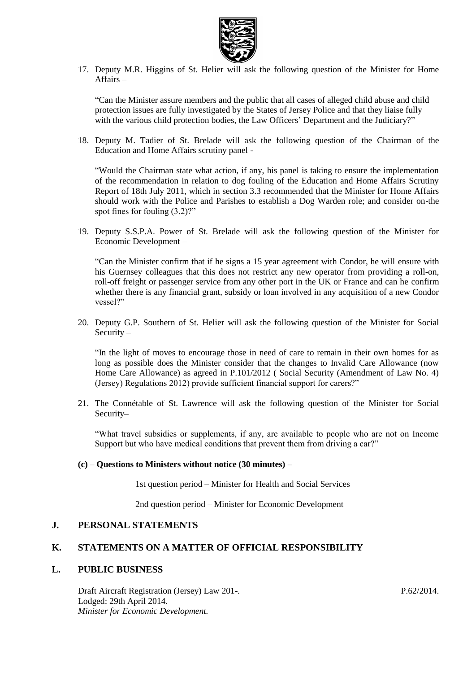

17. Deputy M.R. Higgins of St. Helier will ask the following question of the Minister for Home Affairs –

"Can the Minister assure members and the public that all cases of alleged child abuse and child protection issues are fully investigated by the States of Jersey Police and that they liaise fully with the various child protection bodies, the Law Officers' Department and the Judiciary?"

18. Deputy M. Tadier of St. Brelade will ask the following question of the Chairman of the Education and Home Affairs scrutiny panel -

"Would the Chairman state what action, if any, his panel is taking to ensure the implementation of the recommendation in relation to dog fouling of the Education and Home Affairs Scrutiny Report of 18th July 2011, which in section 3.3 recommended that the Minister for Home Affairs should work with the Police and Parishes to establish a Dog Warden role; and consider on-the spot fines for fouling  $(3.2)$ ?"

19. Deputy S.S.P.A. Power of St. Brelade will ask the following question of the Minister for Economic Development –

"Can the Minister confirm that if he signs a 15 year agreement with Condor, he will ensure with his Guernsey colleagues that this does not restrict any new operator from providing a roll-on, roll-off freight or passenger service from any other port in the UK or France and can he confirm whether there is any financial grant, subsidy or loan involved in any acquisition of a new Condor vessel?"

20. Deputy G.P. Southern of St. Helier will ask the following question of the Minister for Social Security –

"In the light of moves to encourage those in need of care to remain in their own homes for as long as possible does the Minister consider that the changes to Invalid Care Allowance (now Home Care Allowance) as agreed in P.101/2012 ( Social Security (Amendment of Law No. 4) (Jersey) Regulations 2012) provide sufficient financial support for carers?"

21. The Connétable of St. Lawrence will ask the following question of the Minister for Social Security–

"What travel subsidies or supplements, if any, are available to people who are not on Income Support but who have medical conditions that prevent them from driving a car?"

#### **(c) – Questions to Ministers without notice (30 minutes) –**

1st question period – Minister for Health and Social Services

2nd question period – Minister for Economic Development

### **J. PERSONAL STATEMENTS**

### **K. STATEMENTS ON A MATTER OF OFFICIAL RESPONSIBILITY**

#### **L. PUBLIC BUSINESS**

Draft Aircraft Registration (Jersey) Law 201-. Lodged: 29th April 2014. *Minister for Economic Development.*

P.62/2014.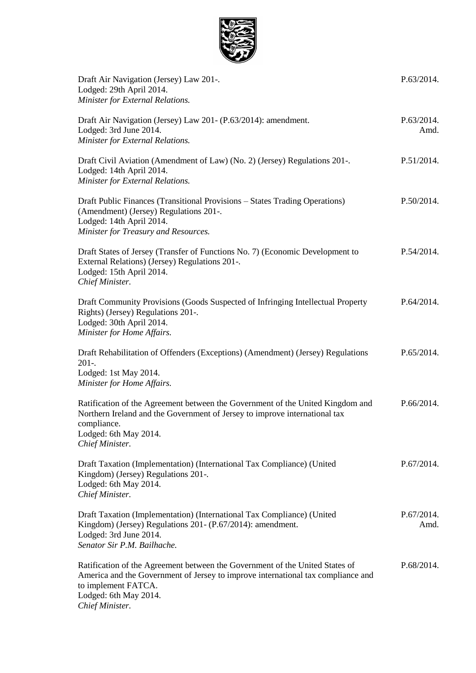

| Draft Air Navigation (Jersey) Law 201-.<br>Lodged: 29th April 2014.<br>Minister for External Relations.                                                                                                                             | P.63/2014.         |
|-------------------------------------------------------------------------------------------------------------------------------------------------------------------------------------------------------------------------------------|--------------------|
| Draft Air Navigation (Jersey) Law 201- (P.63/2014): amendment.<br>Lodged: 3rd June 2014.<br>Minister for External Relations.                                                                                                        | P.63/2014.<br>Amd. |
| Draft Civil Aviation (Amendment of Law) (No. 2) (Jersey) Regulations 201-.<br>Lodged: 14th April 2014.<br>Minister for External Relations.                                                                                          | P.51/2014.         |
| Draft Public Finances (Transitional Provisions – States Trading Operations)<br>(Amendment) (Jersey) Regulations 201-.<br>Lodged: 14th April 2014.<br>Minister for Treasury and Resources.                                           | P.50/2014.         |
| Draft States of Jersey (Transfer of Functions No. 7) (Economic Development to<br>External Relations) (Jersey) Regulations 201-.<br>Lodged: 15th April 2014.<br>Chief Minister.                                                      | P.54/2014.         |
| Draft Community Provisions (Goods Suspected of Infringing Intellectual Property<br>Rights) (Jersey) Regulations 201-.<br>Lodged: 30th April 2014.<br>Minister for Home Affairs.                                                     | P.64/2014.         |
| Draft Rehabilitation of Offenders (Exceptions) (Amendment) (Jersey) Regulations<br>$201-.$<br>Lodged: 1st May 2014.<br>Minister for Home Affairs.                                                                                   | P.65/2014.         |
| Ratification of the Agreement between the Government of the United Kingdom and<br>Northern Ireland and the Government of Jersey to improve international tax<br>compliance.<br>Lodged: 6th May 2014.<br>Chief Minister.             | P.66/2014.         |
| Draft Taxation (Implementation) (International Tax Compliance) (United<br>Kingdom) (Jersey) Regulations 201-.<br>Lodged: 6th May 2014.<br>Chief Minister.                                                                           | P.67/2014.         |
| Draft Taxation (Implementation) (International Tax Compliance) (United<br>Kingdom) (Jersey) Regulations 201- (P.67/2014): amendment.<br>Lodged: 3rd June 2014.<br>Senator Sir P.M. Bailhache.                                       | P.67/2014.<br>Amd. |
| Ratification of the Agreement between the Government of the United States of<br>America and the Government of Jersey to improve international tax compliance and<br>to implement FATCA.<br>Lodged: 6th May 2014.<br>Chief Minister. | P.68/2014.         |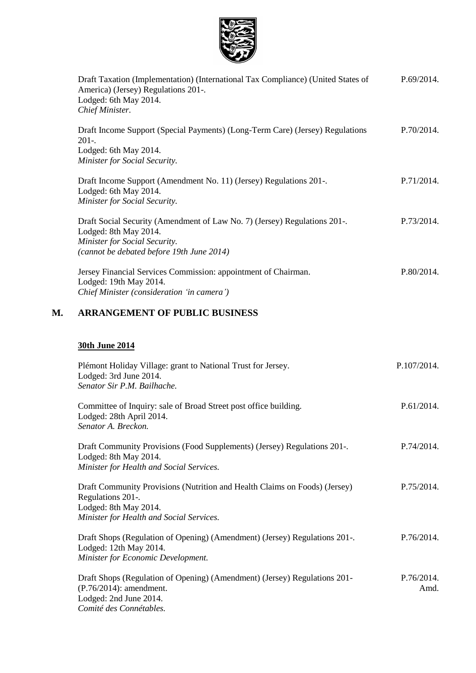

|    | Draft Taxation (Implementation) (International Tax Compliance) (United States of<br>America) (Jersey) Regulations 201-.<br>Lodged: 6th May 2014.<br>Chief Minister.              | P.69/2014. |
|----|----------------------------------------------------------------------------------------------------------------------------------------------------------------------------------|------------|
|    | Draft Income Support (Special Payments) (Long-Term Care) (Jersey) Regulations<br>$201-.$<br>Lodged: 6th May 2014.<br>Minister for Social Security.                               | P.70/2014. |
|    | Draft Income Support (Amendment No. 11) (Jersey) Regulations 201-.<br>Lodged: 6th May 2014.<br>Minister for Social Security.                                                     | P.71/2014. |
|    | Draft Social Security (Amendment of Law No. 7) (Jersey) Regulations 201-.<br>Lodged: 8th May 2014.<br>Minister for Social Security.<br>(cannot be debated before 19th June 2014) | P.73/2014. |
|    | Jersey Financial Services Commission: appointment of Chairman.<br>Lodged: 19th May 2014.<br>Chief Minister (consideration 'in camera')                                           | P.80/2014. |
| М. | <b>ARRANGEMENT OF PUBLIC BUSINESS</b>                                                                                                                                            |            |

## **30th June 2014**

| Plémont Holiday Village: grant to National Trust for Jersey.<br>Lodged: 3rd June 2014.<br>Senator Sir P.M. Bailhache.                                                | P.107/2014.        |
|----------------------------------------------------------------------------------------------------------------------------------------------------------------------|--------------------|
| Committee of Inquiry: sale of Broad Street post office building.<br>Lodged: 28th April 2014.<br>Senator A. Breckon.                                                  | P.61/2014.         |
| Draft Community Provisions (Food Supplements) (Jersey) Regulations 201-.<br>Lodged: 8th May 2014.<br>Minister for Health and Social Services.                        | P.74/2014.         |
| Draft Community Provisions (Nutrition and Health Claims on Foods) (Jersey)<br>Regulations 201-.<br>Lodged: 8th May 2014.<br>Minister for Health and Social Services. | P.75/2014.         |
| Draft Shops (Regulation of Opening) (Amendment) (Jersey) Regulations 201-.<br>Lodged: 12th May 2014.<br>Minister for Economic Development.                           | P.76/2014.         |
| Draft Shops (Regulation of Opening) (Amendment) (Jersey) Regulations 201-<br>$(P.76/2014)$ : amendment.<br>Lodged: 2nd June 2014.<br>Comité des Connétables.         | P.76/2014.<br>Amd. |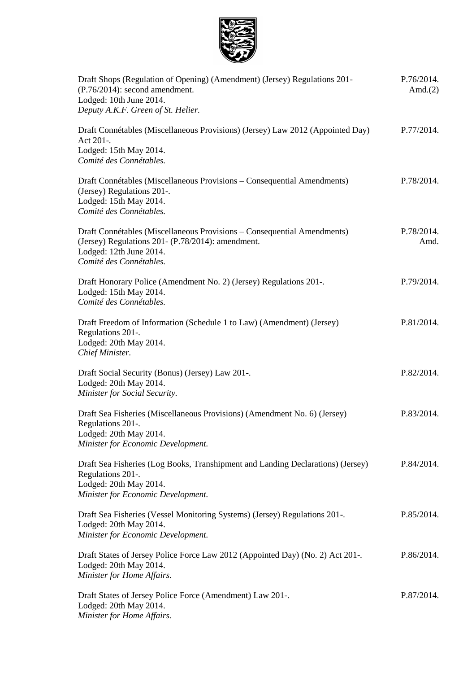

| Draft Shops (Regulation of Opening) (Amendment) (Jersey) Regulations 201-<br>$(P.76/2014)$ : second amendment.<br>Lodged: 10th June 2014.<br>Deputy A.K.F. Green of St. Helier.     | P.76/2014.<br>Amd. $(2)$ |
|-------------------------------------------------------------------------------------------------------------------------------------------------------------------------------------|--------------------------|
| Draft Connétables (Miscellaneous Provisions) (Jersey) Law 2012 (Appointed Day)<br>Act 201-.<br>Lodged: 15th May 2014.<br>Comité des Connétables.                                    | P.77/2014.               |
| Draft Connétables (Miscellaneous Provisions – Consequential Amendments)<br>(Jersey) Regulations 201-.<br>Lodged: 15th May 2014.<br>Comité des Connétables.                          | P.78/2014.               |
| Draft Connétables (Miscellaneous Provisions – Consequential Amendments)<br>(Jersey) Regulations 201 - (P.78/2014): amendment.<br>Lodged: 12th June 2014.<br>Comité des Connétables. | P.78/2014.<br>Amd.       |
| Draft Honorary Police (Amendment No. 2) (Jersey) Regulations 201-.<br>Lodged: 15th May 2014.<br>Comité des Connétables.                                                             | P.79/2014.               |
| Draft Freedom of Information (Schedule 1 to Law) (Amendment) (Jersey)<br>Regulations 201-.<br>Lodged: 20th May 2014.<br>Chief Minister.                                             | P.81/2014.               |
| Draft Social Security (Bonus) (Jersey) Law 201-.<br>Lodged: 20th May 2014.<br>Minister for Social Security.                                                                         | P.82/2014.               |
| Draft Sea Fisheries (Miscellaneous Provisions) (Amendment No. 6) (Jersey)<br>Regulations 201-.<br>Lodged: 20th May 2014.<br>Minister for Economic Development.                      | P.83/2014.               |
| Draft Sea Fisheries (Log Books, Transhipment and Landing Declarations) (Jersey)<br>Regulations 201-.<br>Lodged: 20th May 2014.<br>Minister for Economic Development.                | P.84/2014.               |
| Draft Sea Fisheries (Vessel Monitoring Systems) (Jersey) Regulations 201-.<br>Lodged: 20th May 2014.<br>Minister for Economic Development.                                          | P.85/2014.               |
| Draft States of Jersey Police Force Law 2012 (Appointed Day) (No. 2) Act 201-.<br>Lodged: 20th May 2014.<br>Minister for Home Affairs.                                              | P.86/2014.               |
| Draft States of Jersey Police Force (Amendment) Law 201-.<br>Lodged: 20th May 2014.<br>Minister for Home Affairs.                                                                   | P.87/2014.               |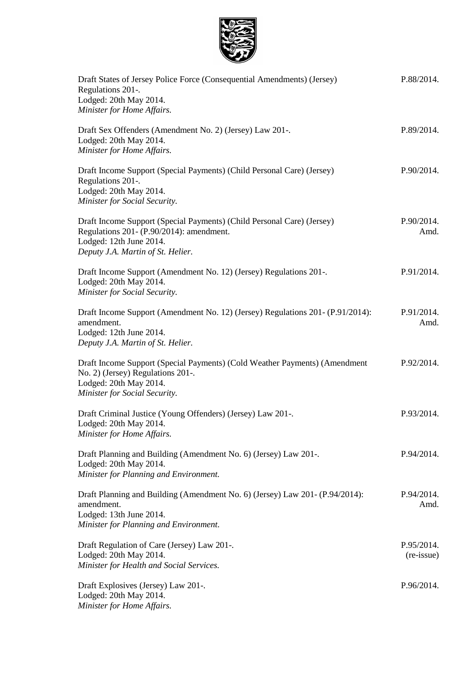

| Draft States of Jersey Police Force (Consequential Amendments) (Jersey)<br>Regulations 201-.<br>Lodged: 20th May 2014.<br>Minister for Home Affairs.                               | P.88/2014.               |
|------------------------------------------------------------------------------------------------------------------------------------------------------------------------------------|--------------------------|
| Draft Sex Offenders (Amendment No. 2) (Jersey) Law 201-.<br>Lodged: 20th May 2014.<br>Minister for Home Affairs.                                                                   | P.89/2014.               |
| Draft Income Support (Special Payments) (Child Personal Care) (Jersey)<br>Regulations 201-.<br>Lodged: 20th May 2014.<br>Minister for Social Security.                             | P.90/2014.               |
| Draft Income Support (Special Payments) (Child Personal Care) (Jersey)<br>Regulations 201- (P.90/2014): amendment.<br>Lodged: 12th June 2014.<br>Deputy J.A. Martin of St. Helier. | P.90/2014.<br>Amd.       |
| Draft Income Support (Amendment No. 12) (Jersey) Regulations 201-.<br>Lodged: 20th May 2014.<br>Minister for Social Security.                                                      | P.91/2014.               |
| Draft Income Support (Amendment No. 12) (Jersey) Regulations 201 - (P.91/2014):<br>amendment.<br>Lodged: 12th June 2014.<br>Deputy J.A. Martin of St. Helier.                      | P.91/2014.<br>Amd.       |
| Draft Income Support (Special Payments) (Cold Weather Payments) (Amendment<br>No. 2) (Jersey) Regulations 201-.<br>Lodged: 20th May 2014.<br>Minister for Social Security.         | P.92/2014.               |
| Draft Criminal Justice (Young Offenders) (Jersey) Law 201-.<br>Lodged: 20th May 2014.<br>Minister for Home Affairs.                                                                | P.93/2014.               |
| Draft Planning and Building (Amendment No. 6) (Jersey) Law 201-.<br>Lodged: 20th May 2014.<br>Minister for Planning and Environment.                                               | P.94/2014.               |
| Draft Planning and Building (Amendment No. 6) (Jersey) Law 201- (P.94/2014):<br>amendment.<br>Lodged: 13th June 2014.<br>Minister for Planning and Environment.                    | P.94/2014.<br>Amd.       |
| Draft Regulation of Care (Jersey) Law 201-.<br>Lodged: 20th May 2014.<br>Minister for Health and Social Services.                                                                  | P.95/2014.<br>(re-issue) |
| Draft Explosives (Jersey) Law 201-.<br>Lodged: 20th May 2014.<br>Minister for Home Affairs.                                                                                        | P.96/2014.               |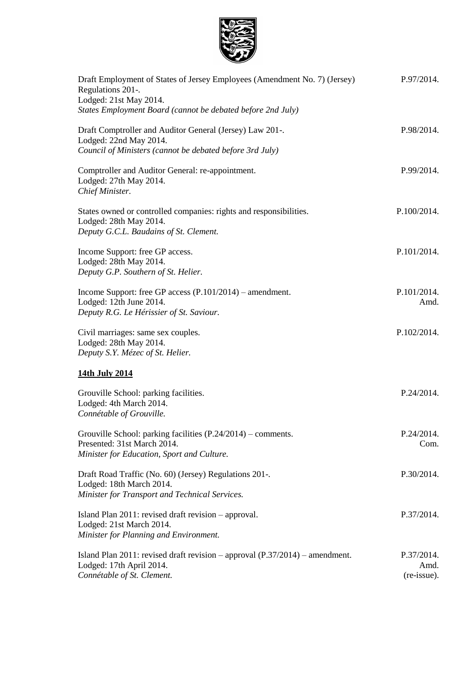

| Draft Employment of States of Jersey Employees (Amendment No. 7) (Jersey)<br>Regulations 201-.<br>Lodged: 21st May 2014.<br>States Employment Board (cannot be debated before 2nd July) | P.97/2014.                        |
|-----------------------------------------------------------------------------------------------------------------------------------------------------------------------------------------|-----------------------------------|
| Draft Comptroller and Auditor General (Jersey) Law 201-.<br>Lodged: 22nd May 2014.<br>Council of Ministers (cannot be debated before 3rd July)                                          | P.98/2014.                        |
| Comptroller and Auditor General: re-appointment.<br>Lodged: 27th May 2014.<br>Chief Minister.                                                                                           | P.99/2014.                        |
| States owned or controlled companies: rights and responsibilities.<br>Lodged: 28th May 2014.<br>Deputy G.C.L. Baudains of St. Clement.                                                  | P.100/2014.                       |
| Income Support: free GP access.<br>Lodged: 28th May 2014.<br>Deputy G.P. Southern of St. Helier.                                                                                        | P.101/2014.                       |
| Income Support: free GP access (P.101/2014) – amendment.<br>Lodged: 12th June 2014.<br>Deputy R.G. Le Hérissier of St. Saviour.                                                         | P.101/2014.<br>Amd.               |
| Civil marriages: same sex couples.<br>Lodged: 28th May 2014.<br>Deputy S.Y. Mézec of St. Helier.                                                                                        | P.102/2014.                       |
| 14th July 2014                                                                                                                                                                          |                                   |
| Grouville School: parking facilities.<br>Lodged: 4th March 2014.<br>Connétable of Grouville.                                                                                            | P.24/2014.                        |
| Grouville School: parking facilities $(P.24/2014)$ – comments.<br>Presented: 31st March 2014.<br>Minister for Education, Sport and Culture.                                             | P.24/2014.<br>Com.                |
| Draft Road Traffic (No. 60) (Jersey) Regulations 201-.<br>Lodged: 18th March 2014.<br>Minister for Transport and Technical Services.                                                    | P.30/2014.                        |
| Island Plan 2011: revised draft revision – approval.<br>Lodged: 21st March 2014.<br>Minister for Planning and Environment.                                                              | P.37/2014.                        |
| Island Plan 2011: revised draft revision – approval $(P.37/2014)$ – amendment.<br>Lodged: 17th April 2014.<br>Connétable of St. Clement.                                                | P.37/2014.<br>Amd.<br>(re-issue). |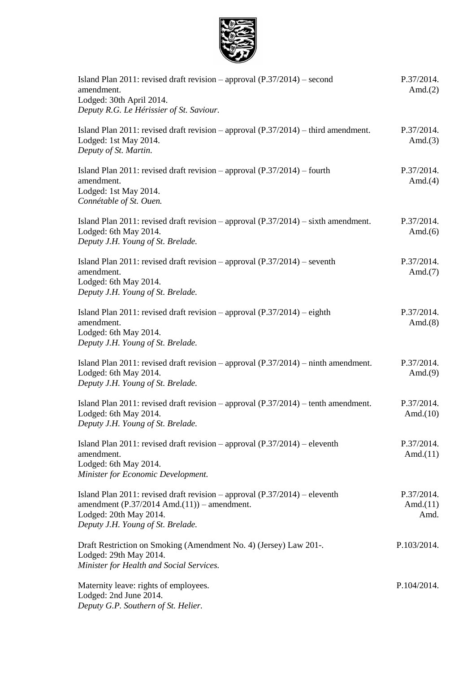

| Island Plan 2011: revised draft revision – approval $(P.37/2014)$ – second<br>amendment.<br>Lodged: 30th April 2014.<br>Deputy R.G. Le Hérissier of St. Saviour.                                     | P.37/2014.<br>Amd. $(2)$          |
|------------------------------------------------------------------------------------------------------------------------------------------------------------------------------------------------------|-----------------------------------|
| Island Plan 2011: revised draft revision – approval $(P.37/2014)$ – third amendment.<br>Lodged: 1st May 2014.<br>Deputy of St. Martin.                                                               | P.37/2014.<br>Amd. $(3)$          |
| Island Plan 2011: revised draft revision – approval $(P.37/2014)$ – fourth<br>amendment.<br>Lodged: 1st May 2014.<br>Connétable of St. Ouen.                                                         | P.37/2014.<br>Amd. $(4)$          |
| Island Plan 2011: revised draft revision – approval $(P.37/2014)$ – sixth amendment.<br>Lodged: 6th May 2014.<br>Deputy J.H. Young of St. Brelade.                                                   | P.37/2014.<br>Amd. $(6)$          |
| Island Plan 2011: revised draft revision – approval $(P.37/2014)$ – seventh<br>amendment.<br>Lodged: 6th May 2014.<br>Deputy J.H. Young of St. Brelade.                                              | P.37/2014.<br>Amd. $(7)$          |
| Island Plan 2011: revised draft revision – approval $(P.37/2014)$ – eighth<br>amendment.<br>Lodged: 6th May 2014.<br>Deputy J.H. Young of St. Brelade.                                               | P.37/2014.<br>Amd. $(8)$          |
| Island Plan 2011: revised draft revision – approval $(P.37/2014)$ – ninth amendment.<br>Lodged: 6th May 2014.<br>Deputy J.H. Young of St. Brelade.                                                   | P.37/2014.<br>Amd. $(9)$          |
| Island Plan 2011: revised draft revision – approval $(P.37/2014)$ – tenth amendment.<br>Lodged: 6th May 2014.<br>Deputy J.H. Young of St. Brelade.                                                   | P.37/2014.<br>Amd. $(10)$         |
| Island Plan 2011: revised draft revision – approval $(P.37/2014)$ – eleventh<br>amendment.<br>Lodged: 6th May 2014.<br>Minister for Economic Development.                                            | P.37/2014.<br>Amd. $(11)$         |
| Island Plan 2011: revised draft revision – approval $(P.37/2014)$ – eleventh<br>amendment $(P.37/2014 \text{ Amd.}(11))$ – amendment.<br>Lodged: 20th May 2014.<br>Deputy J.H. Young of St. Brelade. | P.37/2014.<br>Amd. $(11)$<br>Amd. |
| Draft Restriction on Smoking (Amendment No. 4) (Jersey) Law 201-.<br>Lodged: 29th May 2014.<br>Minister for Health and Social Services.                                                              | P.103/2014.                       |
| Maternity leave: rights of employees.<br>Lodged: 2nd June 2014.<br>Deputy G.P. Southern of St. Helier.                                                                                               | P.104/2014.                       |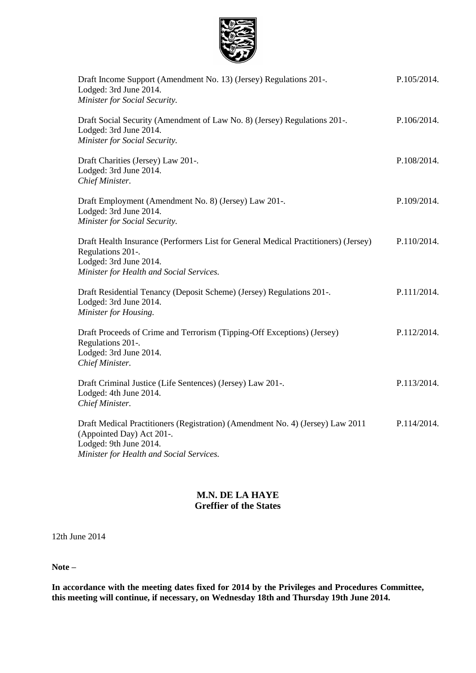

| Draft Income Support (Amendment No. 13) (Jersey) Regulations 201-.<br>Lodged: 3rd June 2014.<br>Minister for Social Security.                                                     | P.105/2014. |
|-----------------------------------------------------------------------------------------------------------------------------------------------------------------------------------|-------------|
| Draft Social Security (Amendment of Law No. 8) (Jersey) Regulations 201-.<br>Lodged: 3rd June 2014.<br>Minister for Social Security.                                              | P.106/2014. |
| Draft Charities (Jersey) Law 201-.<br>Lodged: 3rd June 2014.<br>Chief Minister.                                                                                                   | P.108/2014. |
| Draft Employment (Amendment No. 8) (Jersey) Law 201-.<br>Lodged: 3rd June 2014.<br>Minister for Social Security.                                                                  | P.109/2014. |
| Draft Health Insurance (Performers List for General Medical Practitioners) (Jersey)<br>Regulations 201-.<br>Lodged: 3rd June 2014.<br>Minister for Health and Social Services.    | P.110/2014. |
| Draft Residential Tenancy (Deposit Scheme) (Jersey) Regulations 201-.<br>Lodged: 3rd June 2014.<br>Minister for Housing.                                                          | P.111/2014. |
| Draft Proceeds of Crime and Terrorism (Tipping-Off Exceptions) (Jersey)<br>Regulations 201-.<br>Lodged: 3rd June 2014.<br>Chief Minister.                                         | P.112/2014. |
| Draft Criminal Justice (Life Sentences) (Jersey) Law 201-.<br>Lodged: 4th June 2014.<br>Chief Minister.                                                                           | P.113/2014. |
| Draft Medical Practitioners (Registration) (Amendment No. 4) (Jersey) Law 2011<br>(Appointed Day) Act 201-.<br>Lodged: 9th June 2014.<br>Minister for Health and Social Services. | P.114/2014. |

### **M.N. DE LA HAYE Greffier of the States**

12th June 2014

**Note –**

**In accordance with the meeting dates fixed for 2014 by the Privileges and Procedures Committee, this meeting will continue, if necessary, on Wednesday 18th and Thursday 19th June 2014.**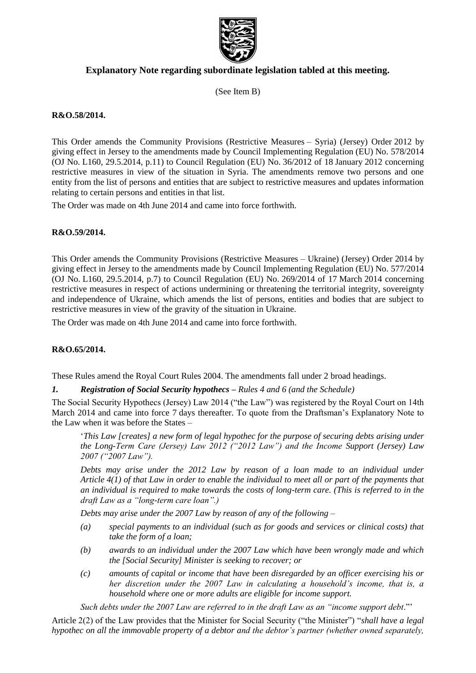

### **Explanatory Note regarding subordinate legislation tabled at this meeting.**

(See Item B)

### **R&O.58/2014.**

This Order amends the Community Provisions (Restrictive Measures – Syria) (Jersey) Order 2012 by giving effect in Jersey to the amendments made by Council Implementing Regulation (EU) No. 578/2014 (OJ No. L160, 29.5.2014, p.11) to Council Regulation (EU) No. 36/2012 of 18 January 2012 concerning restrictive measures in view of the situation in Syria. The amendments remove two persons and one entity from the list of persons and entities that are subject to restrictive measures and updates information relating to certain persons and entities in that list.

The Order was made on 4th June 2014 and came into force forthwith.

### **R&O.59/2014.**

This Order amends the Community Provisions (Restrictive Measures – Ukraine) (Jersey) Order 2014 by giving effect in Jersey to the amendments made by Council Implementing Regulation (EU) No. 577/2014 (OJ No. L160, 29.5.2014, p.7) to Council Regulation (EU) No. 269/2014 of 17 March 2014 concerning restrictive measures in respect of actions undermining or threatening the territorial integrity, sovereignty and independence of Ukraine, which amends the list of persons, entities and bodies that are subject to restrictive measures in view of the gravity of the situation in Ukraine.

The Order was made on 4th June 2014 and came into force forthwith.

### **R&O.65/2014.**

These Rules amend the Royal Court Rules 2004. The amendments fall under 2 broad headings.

#### *1. Registration of Social Security hypothecs – Rules 4 and 6 (and the Schedule)*

The Social Security Hypothecs (Jersey) Law 2014 ("the Law") was registered by the Royal Court on 14th March 2014 and came into force 7 days thereafter. To quote from the Draftsman's Explanatory Note to the Law when it was before the States –

'*This Law [creates] a new form of legal hypothec for the purpose of securing debts arising under the Long-Term Care (Jersey) Law 2012 ("2012 Law") and the Income Support (Jersey) Law 2007 ("2007 Law").*

*Debts may arise under the 2012 Law by reason of a loan made to an individual under Article 4(1) of that Law in order to enable the individual to meet all or part of the payments that an individual is required to make towards the costs of long-term care. (This is referred to in the draft Law as a "long-term care loan".)*

*Debts may arise under the 2007 Law by reason of any of the following –*

- *(a) special payments to an individual (such as for goods and services or clinical costs) that take the form of a loan;*
- *(b) awards to an individual under the 2007 Law which have been wrongly made and which the [Social Security] Minister is seeking to recover; or*
- *(c) amounts of capital or income that have been disregarded by an officer exercising his or her discretion under the 2007 Law in calculating a household's income, that is, a household where one or more adults are eligible for income support.*

*Such debts under the 2007 Law are referred to in the draft Law as an "income support debt*."'

Article 2(2) of the Law provides that the Minister for Social Security ("the Minister") "*shall have a legal hypothec on all the immovable property of a debtor and the debtor's partner (whether owned separately,*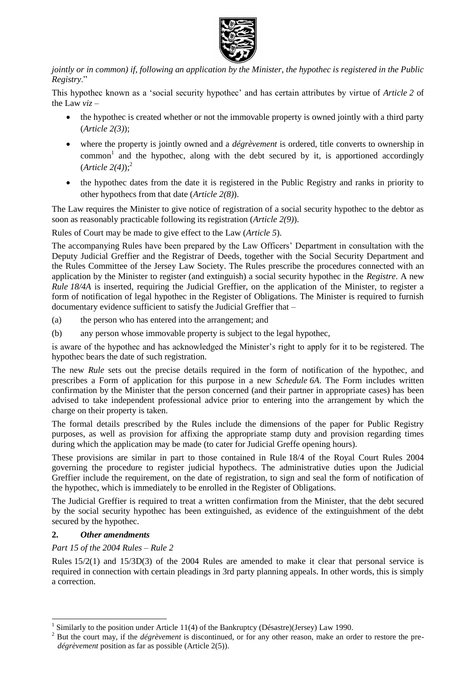

*jointly or in common) if, following an application by the Minister, the hypothec is registered in the Public Registry*."

This hypothec known as a 'social security hypothec' and has certain attributes by virtue of *Article 2* of the Law *viz* –

- the hypothec is created whether or not the immovable property is owned jointly with a third party (*Article 2(3)*);
- where the property is jointly owned and a *dégrèvement* is ordered, title converts to ownership in  $common<sup>1</sup>$  and the hypothec, along with the debt secured by it, is apportioned accordingly (*Article 2(4)*);<sup>2</sup>
- the hypothec dates from the date it is registered in the Public Registry and ranks in priority to other hypothecs from that date (*Article 2(8)*).

The Law requires the Minister to give notice of registration of a social security hypothec to the debtor as soon as reasonably practicable following its registration (*Article 2(9)*).

Rules of Court may be made to give effect to the Law (*Article 5*).

The accompanying Rules have been prepared by the Law Officers' Department in consultation with the Deputy Judicial Greffier and the Registrar of Deeds, together with the Social Security Department and the Rules Committee of the Jersey Law Society. The Rules prescribe the procedures connected with an application by the Minister to register (and extinguish) a social security hypothec in the *Registre*. A new *Rule 18/4A* is inserted, requiring the Judicial Greffier, on the application of the Minister, to register a form of notification of legal hypothec in the Register of Obligations. The Minister is required to furnish documentary evidence sufficient to satisfy the Judicial Greffier that –

- (a) the person who has entered into the arrangement; and
- (b) any person whose immovable property is subject to the legal hypothec,

is aware of the hypothec and has acknowledged the Minister's right to apply for it to be registered. The hypothec bears the date of such registration.

The new *Rule* sets out the precise details required in the form of notification of the hypothec, and prescribes a Form of application for this purpose in a new *Schedule 6A*. The Form includes written confirmation by the Minister that the person concerned (and their partner in appropriate cases) has been advised to take independent professional advice prior to entering into the arrangement by which the charge on their property is taken.

The formal details prescribed by the Rules include the dimensions of the paper for Public Registry purposes, as well as provision for affixing the appropriate stamp duty and provision regarding times during which the application may be made (to cater for Judicial Greffe opening hours).

These provisions are similar in part to those contained in Rule 18/4 of the Royal Court Rules 2004 governing the procedure to register judicial hypothecs. The administrative duties upon the Judicial Greffier include the requirement, on the date of registration, to sign and seal the form of notification of the hypothec, which is immediately to be enrolled in the Register of Obligations.

The Judicial Greffier is required to treat a written confirmation from the Minister, that the debt secured by the social security hypothec has been extinguished, as evidence of the extinguishment of the debt secured by the hypothec.

### **2.** *Other amendments*

 $\overline{a}$ 

### *Part 15 of the 2004 Rules – Rule 2*

Rules 15/2(1) and 15/3D(3) of the 2004 Rules are amended to make it clear that personal service is required in connection with certain pleadings in 3rd party planning appeals. In other words, this is simply a correction.

<sup>1</sup> Similarly to the position under Article 11(4) of the Bankruptcy (Désastre)(Jersey) Law 1990.

<sup>&</sup>lt;sup>2</sup> But the court may, if the *dégrèvement* is discontinued, or for any other reason, make an order to restore the pre*dégrèvement* position as far as possible (Article 2(5)).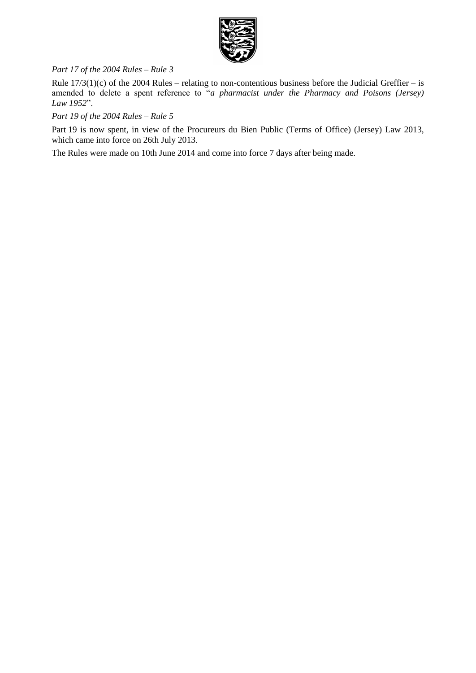

### *Part 17 of the 2004 Rules – Rule 3*

Rule  $17/3(1)(c)$  of the 2004 Rules – relating to non-contentious business before the Judicial Greffier – is amended to delete a spent reference to "*a pharmacist under the Pharmacy and Poisons (Jersey) Law 1952*".

### *Part 19 of the 2004 Rules – Rule 5*

Part 19 is now spent, in view of the Procureurs du Bien Public (Terms of Office) (Jersey) Law 2013[,](http://www.jerseylaw.je/Law/display.aspx?url=lawsinforce%5chtm%5cLawFiles%5c2013%2fL-09-2013.htm) which came into force on 26th July 2013.

The Rules were made on 10th June 2014 and come into force 7 days after being made.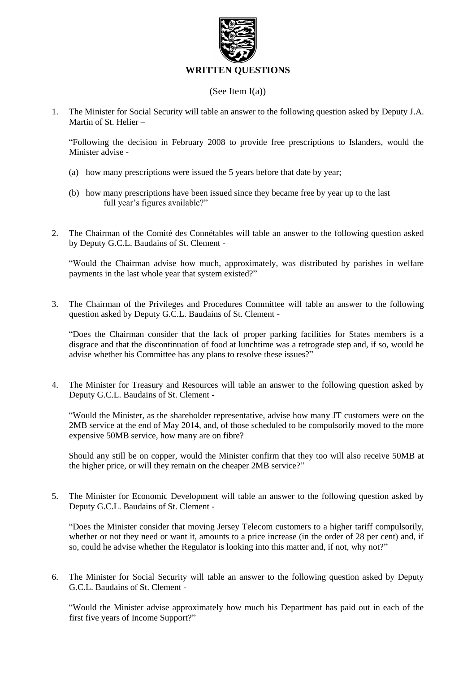

### (See Item I(a))

1. The Minister for Social Security will table an answer to the following question asked by Deputy J.A. Martin of St. Helier –

"Following the decision in February 2008 to provide free prescriptions to Islanders, would the Minister advise -

- (a) how many prescriptions were issued the 5 years before that date by year;
- (b) how many prescriptions have been issued since they became free by year up to the last full year's figures available?"
- 2. The Chairman of the Comité des Connétables will table an answer to the following question asked by Deputy G.C.L. Baudains of St. Clement -

"Would the Chairman advise how much, approximately, was distributed by parishes in welfare payments in the last whole year that system existed?"

3. The Chairman of the Privileges and Procedures Committee will table an answer to the following question asked by Deputy G.C.L. Baudains of St. Clement -

"Does the Chairman consider that the lack of proper parking facilities for States members is a disgrace and that the discontinuation of food at lunchtime was a retrograde step and, if so, would he advise whether his Committee has any plans to resolve these issues?"

4. The Minister for Treasury and Resources will table an answer to the following question asked by Deputy G.C.L. Baudains of St. Clement -

"Would the Minister, as the shareholder representative, advise how many JT customers were on the 2MB service at the end of May 2014, and, of those scheduled to be compulsorily moved to the more expensive 50MB service, how many are on fibre?

Should any still be on copper, would the Minister confirm that they too will also receive 50MB at the higher price, or will they remain on the cheaper 2MB service?"

5. The Minister for Economic Development will table an answer to the following question asked by Deputy G.C.L. Baudains of St. Clement -

"Does the Minister consider that moving Jersey Telecom customers to a higher tariff compulsorily, whether or not they need or want it, amounts to a price increase (in the order of 28 per cent) and, if so, could he advise whether the Regulator is looking into this matter and, if not, why not?"

6. The Minister for Social Security will table an answer to the following question asked by Deputy G.C.L. Baudains of St. Clement -

"Would the Minister advise approximately how much his Department has paid out in each of the first five years of Income Support?"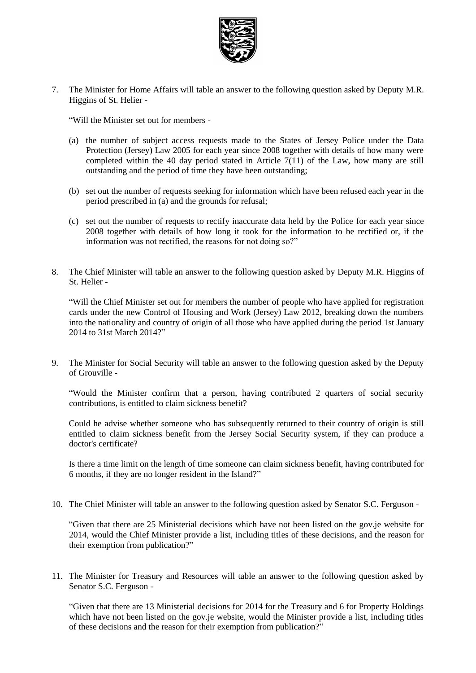

7. The Minister for Home Affairs will table an answer to the following question asked by Deputy M.R. Higgins of St. Helier -

"Will the Minister set out for members -

- (a) the number of subject access requests made to the States of Jersey Police under the Data Protection (Jersey) Law 2005 for each year since 2008 together with details of how many were completed within the 40 day period stated in Article  $7(11)$  of the Law, how many are still outstanding and the period of time they have been outstanding;
- (b) set out the number of requests seeking for information which have been refused each year in the period prescribed in (a) and the grounds for refusal;
- (c) set out the number of requests to rectify inaccurate data held by the Police for each year since 2008 together with details of how long it took for the information to be rectified or, if the information was not rectified, the reasons for not doing so?"
- 8. The Chief Minister will table an answer to the following question asked by Deputy M.R. Higgins of St. Helier -

"Will the Chief Minister set out for members the number of people who have applied for registration cards under the new Control of Housing and Work (Jersey) Law 2012, breaking down the numbers into the nationality and country of origin of all those who have applied during the period 1st January 2014 to 31st March 2014?"

9. The Minister for Social Security will table an answer to the following question asked by the Deputy of Grouville -

"Would the Minister confirm that a person, having contributed 2 quarters of social security contributions, is entitled to claim sickness benefit?

Could he advise whether someone who has subsequently returned to their country of origin is still entitled to claim sickness benefit from the Jersey Social Security system, if they can produce a doctor's certificate?

Is there a time limit on the length of time someone can claim sickness benefit, having contributed for 6 months, if they are no longer resident in the Island?"

10. The Chief Minister will table an answer to the following question asked by Senator S.C. Ferguson -

"Given that there are 25 Ministerial decisions which have not been listed on the gov.je website for 2014, would the Chief Minister provide a list, including titles of these decisions, and the reason for their exemption from publication?"

11. The Minister for Treasury and Resources will table an answer to the following question asked by Senator S.C. Ferguson -

"Given that there are 13 Ministerial decisions for 2014 for the Treasury and 6 for Property Holdings which have not been listed on the gov.je website, would the Minister provide a list, including titles of these decisions and the reason for their exemption from publication?"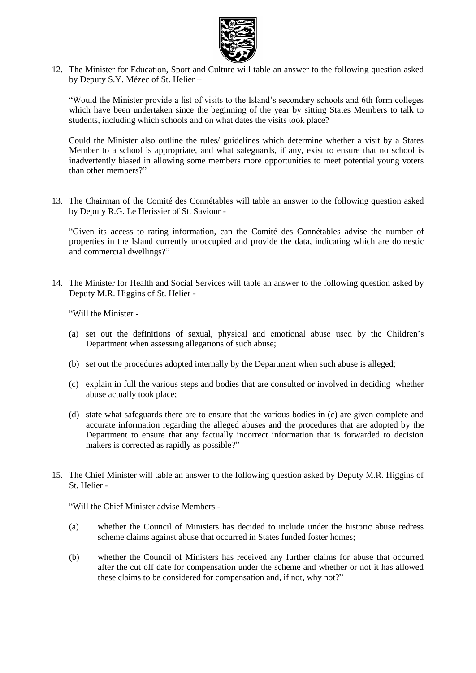

12. The Minister for Education, Sport and Culture will table an answer to the following question asked by Deputy S.Y. Mézec of St. Helier –

"Would the Minister provide a list of visits to the Island's secondary schools and 6th form colleges which have been undertaken since the beginning of the year by sitting States Members to talk to students, including which schools and on what dates the visits took place?

Could the Minister also outline the rules/ guidelines which determine whether a visit by a States Member to a school is appropriate, and what safeguards, if any, exist to ensure that no school is inadvertently biased in allowing some members more opportunities to meet potential young voters than other members?"

13. The Chairman of the Comité des Connétables will table an answer to the following question asked by Deputy R.G. Le Herissier of St. Saviour -

"Given its access to rating information, can the Comité des Connétables advise the number of properties in the Island currently unoccupied and provide the data, indicating which are domestic and commercial dwellings?"

14. The Minister for Health and Social Services will table an answer to the following question asked by Deputy M.R. Higgins of St. Helier -

"Will the Minister -

- (a) set out the definitions of sexual, physical and emotional abuse used by the Children's Department when assessing allegations of such abuse;
- (b) set out the procedures adopted internally by the Department when such abuse is alleged;
- (c) explain in full the various steps and bodies that are consulted or involved in deciding whether abuse actually took place;
- (d) state what safeguards there are to ensure that the various bodies in (c) are given complete and accurate information regarding the alleged abuses and the procedures that are adopted by the Department to ensure that any factually incorrect information that is forwarded to decision makers is corrected as rapidly as possible?"
- 15. The Chief Minister will table an answer to the following question asked by Deputy M.R. Higgins of St. Helier -

"Will the Chief Minister advise Members -

- (a) whether the Council of Ministers has decided to include under the historic abuse redress scheme claims against abuse that occurred in States funded foster homes;
- (b) whether the Council of Ministers has received any further claims for abuse that occurred after the cut off date for compensation under the scheme and whether or not it has allowed these claims to be considered for compensation and, if not, why not?"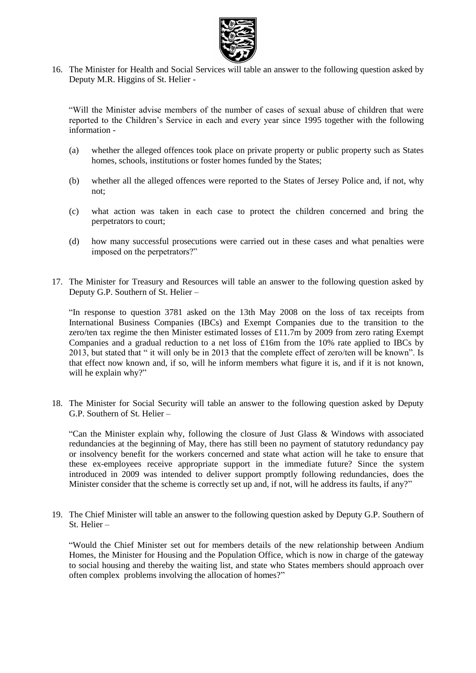

16. The Minister for Health and Social Services will table an answer to the following question asked by Deputy M.R. Higgins of St. Helier -

"Will the Minister advise members of the number of cases of sexual abuse of children that were reported to the Children's Service in each and every year since 1995 together with the following information -

- (a) whether the alleged offences took place on private property or public property such as States homes, schools, institutions or foster homes funded by the States;
- (b) whether all the alleged offences were reported to the States of Jersey Police and, if not, why not;
- (c) what action was taken in each case to protect the children concerned and bring the perpetrators to court;
- (d) how many successful prosecutions were carried out in these cases and what penalties were imposed on the perpetrators?"
- 17. The Minister for Treasury and Resources will table an answer to the following question asked by Deputy G.P. Southern of St. Helier –

"In response to question 3781 asked on the 13th May 2008 on the loss of tax receipts from International Business Companies (IBCs) and Exempt Companies due to the transition to the zero/ten tax regime the then Minister estimated losses of £11.7m by 2009 from zero rating Exempt Companies and a gradual reduction to a net loss of £16m from the 10% rate applied to IBCs by 2013, but stated that " it will only be in 2013 that the complete effect of zero/ten will be known". Is that effect now known and, if so, will he inform members what figure it is, and if it is not known, will he explain why?"

18. The Minister for Social Security will table an answer to the following question asked by Deputy G.P. Southern of St. Helier –

"Can the Minister explain why, following the closure of Just Glass & Windows with associated redundancies at the beginning of May, there has still been no payment of statutory redundancy pay or insolvency benefit for the workers concerned and state what action will he take to ensure that these ex-employees receive appropriate support in the immediate future? Since the system introduced in 2009 was intended to deliver support promptly following redundancies, does the Minister consider that the scheme is correctly set up and, if not, will he address its faults, if any?"

19. The Chief Minister will table an answer to the following question asked by Deputy G.P. Southern of St. Helier –

"Would the Chief Minister set out for members details of the new relationship between Andium Homes, the Minister for Housing and the Population Office, which is now in charge of the gateway to social housing and thereby the waiting list, and state who States members should approach over often complex problems involving the allocation of homes?"